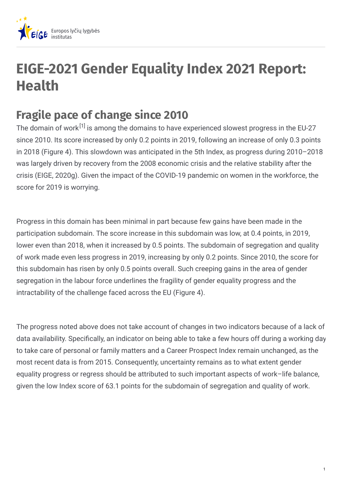

## **EIGE-2021 Gender Equality Index 2021 Report: Health**

## **Fragile pace of change since 2010**

The domain of work $^{[1]}$  is among the domains to have experienced slowest progress in the EU-27 since 2010. Its score increased by only 0.2 points in 2019, following an increase of only 0.3 points in 2018 (Figure 4). This slowdown was anticipated in the 5th Index, as progress during 2010–2018 was largely driven by recovery from the 2008 economic crisis and the relative stability after the crisis (EIGE, 2020g). Given the impact of the COVID-19 pandemic on women in the workforce, the score for 2019 is worrying.

Progress in this domain has been minimal in part because few gains have been made in the participation subdomain. The score increase in this subdomain was low, at 0.4 points, in 2019, lower even than 2018, when it increased by 0.5 points. The subdomain of segregation and quality of work made even less progress in 2019, increasing by only 0.2 points. Since 2010, the score for this subdomain has risen by only 0.5 points overall. Such creeping gains in the area of gender segregation in the labour force underlines the fragility of gender equality progress and the intractability of the challenge faced across the EU (Figure 4).

The progress noted above does not take account of changes in two indicators because of a lack of data availability. Specifically, an indicator on being able to take a few hours off during a working day to take care of personal or family matters and a Career Prospect Index remain unchanged, as the most recent data is from 2015. Consequently, uncertainty remains as to what extent gender equality progress or regress should be attributed to such important aspects of work–life balance, given the low Index score of 63.1 points for the subdomain of segregation and quality of work.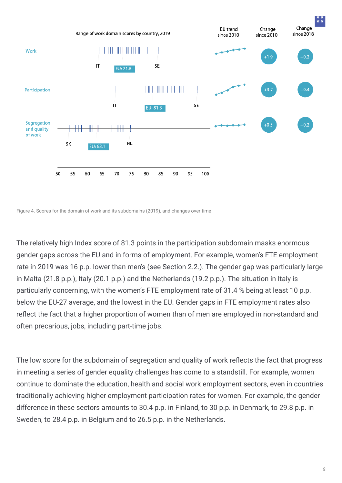

Figure 4. Scores for the domain of work and its subdomains (2019), and changes over time

The relatively high Index score of 81.3 points in the participation subdomain masks enormous gender gaps across the EU and in forms of employment. For example, women's FTE employment rate in 2019 was 16 p.p. lower than men's (see Section 2.2.). The gender gap was particularly large in Malta (21.8 p.p.), Italy (20.1 p.p.) and the Netherlands (19.2 p.p.). The situation in Italy is particularly concerning, with the women's FTE employment rate of 31.4 % being at least 10 p.p. below the EU-27 average, and the lowest in the EU. Gender gaps in FTE employment rates also reflect the fact that a higher proportion of women than of men are employed in non-standard and often precarious, jobs, including part-time jobs.

The low score for the subdomain of segregation and quality of work reflects the fact that progress in meeting a series of gender equality challenges has come to a standstill. For example, women continue to dominate the education, health and social work employment sectors, even in countries traditionally achieving higher employment participation rates for women. For example, the gender difference in these sectors amounts to 30.4 p.p. in Finland, to 30 p.p. in Denmark, to 29.8 p.p. in Sweden, to 28.4 p.p. in Belgium and to 26.5 p.p. in the Netherlands.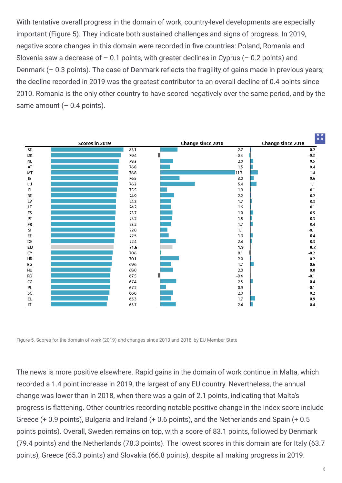With tentative overall progress in the domain of work, country-level developments are especially important (Figure 5). They indicate both sustained challenges and signs of progress. In 2019, negative score changes in this domain were recorded in five countries: Poland, Romania and Slovenia saw a decrease of  $-0.1$  points, with greater declines in Cyprus ( $-0.2$  points) and Denmark  $(-0.3$  points). The case of Denmark reflects the fragility of gains made in previous years; the decline recorded in 2019 was the greatest contributor to an overall decline of 0.4 points since 2010. Romania is the only other country to have scored negatively over the same period, and by the same amount  $(-0.4 \text{ points})$ .



Figure 5. Scores for the domain of work (2019) and changes since 2010 and 2018, by EU Member State

The news is more positive elsewhere. Rapid gains in the domain of work continue in Malta, which recorded a 1.4 point increase in 2019, the largest of any EU country. Nevertheless, the annual change was lower than in 2018, when there was a gain of 2.1 points, indicating that Malta's progress is flattening. Other countries recording notable positive change in the Index score include Greece (+ 0.9 points), Bulgaria and Ireland (+ 0.6 points), and the Netherlands and Spain (+ 0.5 points points). Overall, Sweden remains on top, with a score of 83.1 points, followed by Denmark (79.4 points) and the Netherlands (78.3 points). The lowest scores in this domain are for Italy (63.7 points), Greece (65.3 points) and Slovakia (66.8 points), despite all making progress in 2019.